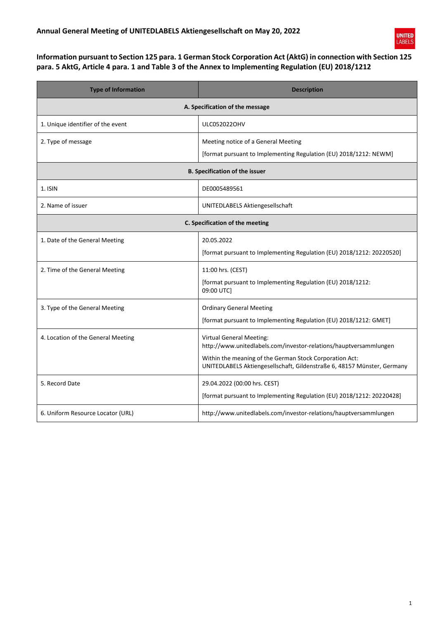

## **Information pursuant to Section 125 para. 1 German Stock Corporation Act (AktG) in connection with Section 125 para. 5 AktG, Article 4 para. 1 and Table 3 of the Annex to Implementing Regulation (EU) 2018/1212**

| <b>Type of Information</b>            | <b>Description</b>                                                                                                                 |  |
|---------------------------------------|------------------------------------------------------------------------------------------------------------------------------------|--|
| A. Specification of the message       |                                                                                                                                    |  |
| 1. Unique identifier of the event     | <b>ULC052022OHV</b>                                                                                                                |  |
| 2. Type of message                    | Meeting notice of a General Meeting                                                                                                |  |
|                                       | [format pursuant to Implementing Regulation (EU) 2018/1212: NEWM]                                                                  |  |
| <b>B. Specification of the issuer</b> |                                                                                                                                    |  |
| $1.$ ISIN                             | DE0005489561                                                                                                                       |  |
| 2. Name of issuer                     | UNITEDLABELS Aktiengesellschaft                                                                                                    |  |
| C. Specification of the meeting       |                                                                                                                                    |  |
| 1. Date of the General Meeting        | 20.05.2022                                                                                                                         |  |
|                                       | [format pursuant to Implementing Regulation (EU) 2018/1212: 20220520]                                                              |  |
| 2. Time of the General Meeting        | 11:00 hrs. (CEST)                                                                                                                  |  |
|                                       | [format pursuant to Implementing Regulation (EU) 2018/1212:<br>09:00 UTC]                                                          |  |
| 3. Type of the General Meeting        | <b>Ordinary General Meeting</b>                                                                                                    |  |
|                                       | [format pursuant to Implementing Regulation (EU) 2018/1212: GMET]                                                                  |  |
| 4. Location of the General Meeting    | <b>Virtual General Meeting:</b><br>http://www.unitedlabels.com/investor-relations/hauptversammlungen                               |  |
|                                       | Within the meaning of the German Stock Corporation Act:<br>UNITEDLABELS Aktiengesellschaft, Gildenstraße 6, 48157 Münster, Germany |  |
| 5. Record Date                        | 29.04.2022 (00:00 hrs. CEST)                                                                                                       |  |
|                                       | [format pursuant to Implementing Regulation (EU) 2018/1212: 20220428]                                                              |  |
| 6. Uniform Resource Locator (URL)     | http://www.unitedlabels.com/investor-relations/hauptversammlungen                                                                  |  |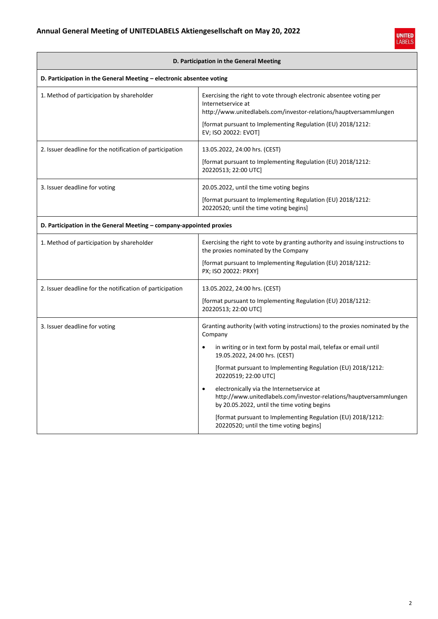ř



| D. Participation in the General Meeting                              |                                                                                                                                                                                                                                                                                                                                                                                                                                                                                                                                                                               |  |
|----------------------------------------------------------------------|-------------------------------------------------------------------------------------------------------------------------------------------------------------------------------------------------------------------------------------------------------------------------------------------------------------------------------------------------------------------------------------------------------------------------------------------------------------------------------------------------------------------------------------------------------------------------------|--|
| D. Participation in the General Meeting - electronic absentee voting |                                                                                                                                                                                                                                                                                                                                                                                                                                                                                                                                                                               |  |
| 1. Method of participation by shareholder                            | Exercising the right to vote through electronic absentee voting per<br>Internetservice at<br>http://www.unitedlabels.com/investor-relations/hauptversammlungen<br>[format pursuant to Implementing Regulation (EU) 2018/1212:<br>EV; ISO 20022: EVOT]                                                                                                                                                                                                                                                                                                                         |  |
| 2. Issuer deadline for the notification of participation             | 13.05.2022, 24:00 hrs. (CEST)<br>[format pursuant to Implementing Regulation (EU) 2018/1212:<br>20220513; 22:00 UTC]                                                                                                                                                                                                                                                                                                                                                                                                                                                          |  |
| 3. Issuer deadline for voting                                        | 20.05.2022, until the time voting begins<br>[format pursuant to Implementing Regulation (EU) 2018/1212:<br>20220520; until the time voting begins]                                                                                                                                                                                                                                                                                                                                                                                                                            |  |
| D. Participation in the General Meeting – company-appointed proxies  |                                                                                                                                                                                                                                                                                                                                                                                                                                                                                                                                                                               |  |
| 1. Method of participation by shareholder                            | Exercising the right to vote by granting authority and issuing instructions to<br>the proxies nominated by the Company<br>[format pursuant to Implementing Regulation (EU) 2018/1212:<br>PX; ISO 20022: PRXY]                                                                                                                                                                                                                                                                                                                                                                 |  |
| 2. Issuer deadline for the notification of participation             | 13.05.2022, 24:00 hrs. (CEST)<br>[format pursuant to Implementing Regulation (EU) 2018/1212:<br>20220513; 22:00 UTC]                                                                                                                                                                                                                                                                                                                                                                                                                                                          |  |
| 3. Issuer deadline for voting                                        | Granting authority (with voting instructions) to the proxies nominated by the<br>Company<br>in writing or in text form by postal mail, telefax or email until<br>19.05.2022, 24:00 hrs. (CEST)<br>[format pursuant to Implementing Regulation (EU) 2018/1212:<br>20220519; 22:00 UTC]<br>electronically via the Internetservice at<br>$\bullet$<br>http://www.unitedlabels.com/investor-relations/hauptversammlungen<br>by 20.05.2022, until the time voting begins<br>[format pursuant to Implementing Regulation (EU) 2018/1212:<br>20220520; until the time voting begins] |  |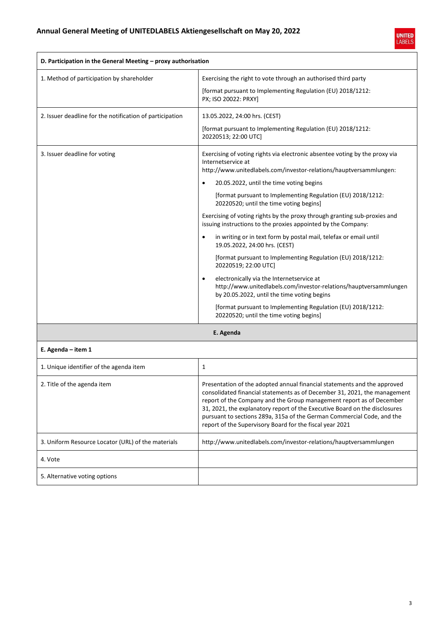

| D. Participation in the General Meeting - proxy authorisation |                                                                                                                                                                                                                                                                                                             |
|---------------------------------------------------------------|-------------------------------------------------------------------------------------------------------------------------------------------------------------------------------------------------------------------------------------------------------------------------------------------------------------|
| 1. Method of participation by shareholder                     | Exercising the right to vote through an authorised third party                                                                                                                                                                                                                                              |
|                                                               | [format pursuant to Implementing Regulation (EU) 2018/1212:<br>PX; ISO 20022: PRXY]                                                                                                                                                                                                                         |
| 2. Issuer deadline for the notification of participation      | 13.05.2022, 24:00 hrs. (CEST)                                                                                                                                                                                                                                                                               |
|                                                               | [format pursuant to Implementing Regulation (EU) 2018/1212:<br>20220513; 22:00 UTC]                                                                                                                                                                                                                         |
| 3. Issuer deadline for voting                                 | Exercising of voting rights via electronic absentee voting by the proxy via<br>Internetservice at                                                                                                                                                                                                           |
|                                                               | http://www.unitedlabels.com/investor-relations/hauptversammlungen:<br>20.05.2022, until the time voting begins                                                                                                                                                                                              |
|                                                               |                                                                                                                                                                                                                                                                                                             |
|                                                               | [format pursuant to Implementing Regulation (EU) 2018/1212:<br>20220520; until the time voting begins]                                                                                                                                                                                                      |
|                                                               | Exercising of voting rights by the proxy through granting sub-proxies and<br>issuing instructions to the proxies appointed by the Company:                                                                                                                                                                  |
|                                                               | in writing or in text form by postal mail, telefax or email until<br>$\bullet$<br>19.05.2022, 24:00 hrs. (CEST)                                                                                                                                                                                             |
|                                                               | [format pursuant to Implementing Regulation (EU) 2018/1212:<br>20220519; 22:00 UTC]                                                                                                                                                                                                                         |
|                                                               | electronically via the Internetservice at<br>http://www.unitedlabels.com/investor-relations/hauptversammlungen<br>by 20.05.2022, until the time voting begins                                                                                                                                               |
|                                                               | [format pursuant to Implementing Regulation (EU) 2018/1212:<br>20220520; until the time voting begins]                                                                                                                                                                                                      |
|                                                               | E. Agenda                                                                                                                                                                                                                                                                                                   |
| E. Agenda $-$ item 1                                          |                                                                                                                                                                                                                                                                                                             |
| 1. Unique identifier of the agenda item                       | $\mathbf{1}$                                                                                                                                                                                                                                                                                                |
| 2. Title of the agenda item                                   | Presentation of the adopted annual financial statements and the approved<br>consolidated financial statements as of December 31, 2021, the management<br>report of the Company and the Group management report as of December<br>31, 2021, the explanatory report of the Executive Board on the disclosures |

| 3. Uniform Resource Locator (URL) of the materials | http://www.unitedlabels.com/investor-relations/hauptversammlungen |
|----------------------------------------------------|-------------------------------------------------------------------|
| 4. Vote                                            |                                                                   |
| 5. Alternative voting options                      |                                                                   |
|                                                    |                                                                   |
|                                                    |                                                                   |

pursuant to sections 289a, 315a of the German Commercial Code, and the

report of the Supervisory Board for the fiscal year 2021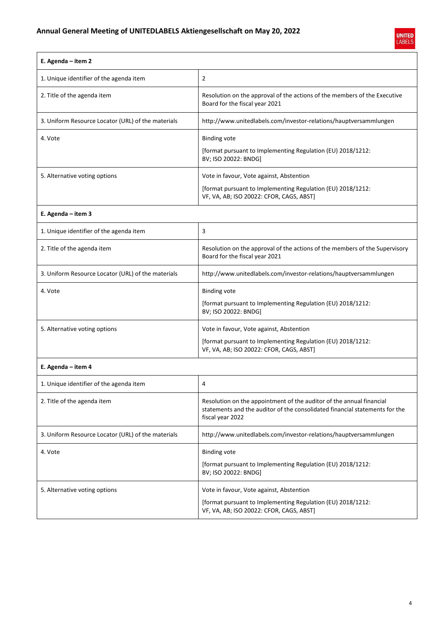

| E. Agenda - item 2                                 |                                                                                                                                                                         |
|----------------------------------------------------|-------------------------------------------------------------------------------------------------------------------------------------------------------------------------|
| 1. Unique identifier of the agenda item            | $\overline{2}$                                                                                                                                                          |
| 2. Title of the agenda item                        | Resolution on the approval of the actions of the members of the Executive<br>Board for the fiscal year 2021                                                             |
| 3. Uniform Resource Locator (URL) of the materials | http://www.unitedlabels.com/investor-relations/hauptversammlungen                                                                                                       |
| 4. Vote                                            | <b>Binding vote</b><br>[format pursuant to Implementing Regulation (EU) 2018/1212:<br>BV; ISO 20022: BNDG]                                                              |
| 5. Alternative voting options                      | Vote in favour, Vote against, Abstention<br>[format pursuant to Implementing Regulation (EU) 2018/1212:<br>VF, VA, AB; ISO 20022: CFOR, CAGS, ABST]                     |
| E. Agenda - item 3                                 |                                                                                                                                                                         |
| 1. Unique identifier of the agenda item            | 3                                                                                                                                                                       |
| 2. Title of the agenda item                        | Resolution on the approval of the actions of the members of the Supervisory<br>Board for the fiscal year 2021                                                           |
| 3. Uniform Resource Locator (URL) of the materials | http://www.unitedlabels.com/investor-relations/hauptversammlungen                                                                                                       |
| 4. Vote                                            | <b>Binding vote</b><br>[format pursuant to Implementing Regulation (EU) 2018/1212:<br>BV; ISO 20022: BNDG]                                                              |
| 5. Alternative voting options                      | Vote in favour, Vote against, Abstention<br>[format pursuant to Implementing Regulation (EU) 2018/1212:<br>VF, VA, AB; ISO 20022: CFOR, CAGS, ABST]                     |
| E. Agenda - item 4                                 |                                                                                                                                                                         |
| 1. Unique identifier of the agenda item            | 4                                                                                                                                                                       |
| 2. Title of the agenda item                        | Resolution on the appointment of the auditor of the annual financial<br>statements and the auditor of the consolidated financial statements for the<br>fiscal year 2022 |
| 3. Uniform Resource Locator (URL) of the materials | http://www.unitedlabels.com/investor-relations/hauptversammlungen                                                                                                       |
| 4. Vote                                            | <b>Binding vote</b><br>[format pursuant to Implementing Regulation (EU) 2018/1212:<br>BV; ISO 20022: BNDG]                                                              |
| 5. Alternative voting options                      | Vote in favour, Vote against, Abstention<br>[format pursuant to Implementing Regulation (EU) 2018/1212:<br>VF, VA, AB; ISO 20022: CFOR, CAGS, ABST]                     |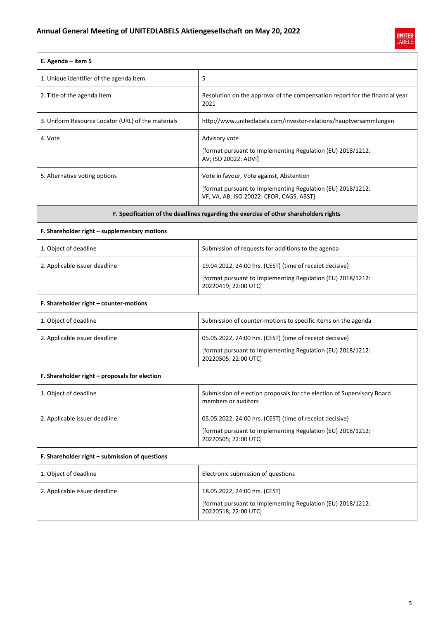

| E. Agenda - item 5                                                                    |                                                                                                         |
|---------------------------------------------------------------------------------------|---------------------------------------------------------------------------------------------------------|
| 1. Unique identifier of the agenda item                                               | 5                                                                                                       |
| 2. Title of the agenda item                                                           | Resolution on the approval of the compensation report for the financial year<br>2021                    |
| 3. Uniform Resource Locator (URL) of the materials                                    | http://www.unitedlabels.com/investor-relations/hauptversammlungen                                       |
| 4. Vote                                                                               | Advisory vote                                                                                           |
|                                                                                       | [format pursuant to Implementing Regulation (EU) 2018/1212:<br>AV; ISO 20022: ADVI]                     |
| 5. Alternative voting options                                                         | Vote in favour, Vote against, Abstention                                                                |
|                                                                                       | [format pursuant to Implementing Regulation (EU) 2018/1212:<br>VF, VA, AB; ISO 20022: CFOR, CAGS, ABST] |
| F. Specification of the deadlines regarding the exercise of other shareholders rights |                                                                                                         |
| F. Shareholder right - supplementary motions                                          |                                                                                                         |
| 1. Object of deadline                                                                 | Submission of requests for additions to the agenda                                                      |
| 2. Applicable issuer deadline                                                         | 19.04.2022, 24:00 hrs. (CEST) (time of receipt decisive)                                                |
|                                                                                       | [format pursuant to Implementing Regulation (EU) 2018/1212:<br>20220419; 22:00 UTC]                     |
| F. Shareholder right - counter-motions                                                |                                                                                                         |
| 1. Object of deadline                                                                 | Submission of counter-motions to specific items on the agenda                                           |
| 2. Applicable issuer deadline                                                         | 05.05.2022, 24:00 hrs. (CEST) (time of receipt decisive)                                                |
|                                                                                       | [format pursuant to Implementing Regulation (EU) 2018/1212:<br>20220505; 22:00 UTC]                     |
| F. Shareholder right - proposals for election                                         |                                                                                                         |
| 1. Object of deadline                                                                 | Submission of election proposals for the election of Supervisory Board<br>members or auditors           |
| 2. Applicable issuer deadline                                                         | 05.05.2022, 24:00 hrs. (CEST) (time of receipt decisive)                                                |
|                                                                                       | [format pursuant to Implementing Regulation (EU) 2018/1212:<br>20220505; 22:00 UTC]                     |
| F. Shareholder right - submission of questions                                        |                                                                                                         |
| 1. Object of deadline                                                                 | Electronic submission of questions                                                                      |
| 2. Applicable issuer deadline                                                         | 18.05.2022, 24:00 hrs. (CEST)                                                                           |
|                                                                                       | [format pursuant to Implementing Regulation (EU) 2018/1212:<br>20220518; 22:00 UTC]                     |